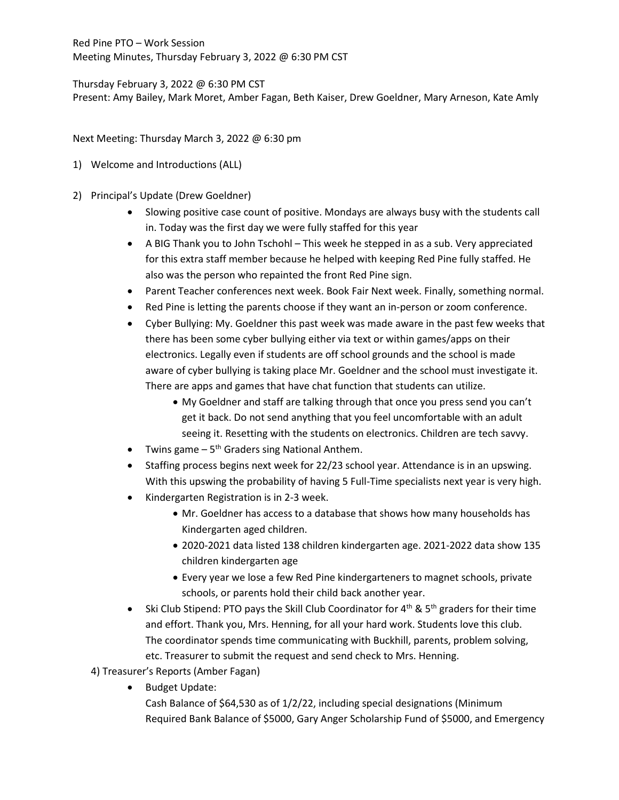Thursday February 3, 2022 @ 6:30 PM CST Present: Amy Bailey, Mark Moret, Amber Fagan, Beth Kaiser, Drew Goeldner, Mary Arneson, Kate Amly

Next Meeting: Thursday March 3, 2022 @ 6:30 pm

- 1) Welcome and Introductions (ALL)
- 2) Principal's Update (Drew Goeldner)
	- Slowing positive case count of positive. Mondays are always busy with the students call in. Today was the first day we were fully staffed for this year
	- A BIG Thank you to John Tschohl This week he stepped in as a sub. Very appreciated for this extra staff member because he helped with keeping Red Pine fully staffed. He also was the person who repainted the front Red Pine sign.
	- Parent Teacher conferences next week. Book Fair Next week. Finally, something normal.
	- Red Pine is letting the parents choose if they want an in-person or zoom conference.
	- Cyber Bullying: My. Goeldner this past week was made aware in the past few weeks that there has been some cyber bullying either via text or within games/apps on their electronics. Legally even if students are off school grounds and the school is made aware of cyber bullying is taking place Mr. Goeldner and the school must investigate it. There are apps and games that have chat function that students can utilize.
		- My Goeldner and staff are talking through that once you press send you can't get it back. Do not send anything that you feel uncomfortable with an adult seeing it. Resetting with the students on electronics. Children are tech savvy.
	- Twins game  $-5$ <sup>th</sup> Graders sing National Anthem.
	- Staffing process begins next week for 22/23 school year. Attendance is in an upswing. With this upswing the probability of having 5 Full-Time specialists next year is very high.
	- Kindergarten Registration is in 2-3 week.
		- Mr. Goeldner has access to a database that shows how many households has Kindergarten aged children.
		- 2020-2021 data listed 138 children kindergarten age. 2021-2022 data show 135 children kindergarten age
		- Every year we lose a few Red Pine kindergarteners to magnet schools, private schools, or parents hold their child back another year.
	- Ski Club Stipend: PTO pays the Skill Club Coordinator for  $4^{th}$  & 5<sup>th</sup> graders for their time and effort. Thank you, Mrs. Henning, for all your hard work. Students love this club. The coordinator spends time communicating with Buckhill, parents, problem solving, etc. Treasurer to submit the request and send check to Mrs. Henning.
	- 4) Treasurer's Reports (Amber Fagan)
		- Budget Update:
			- Cash Balance of \$64,530 as of 1/2/22, including special designations (Minimum Required Bank Balance of \$5000, Gary Anger Scholarship Fund of \$5000, and Emergency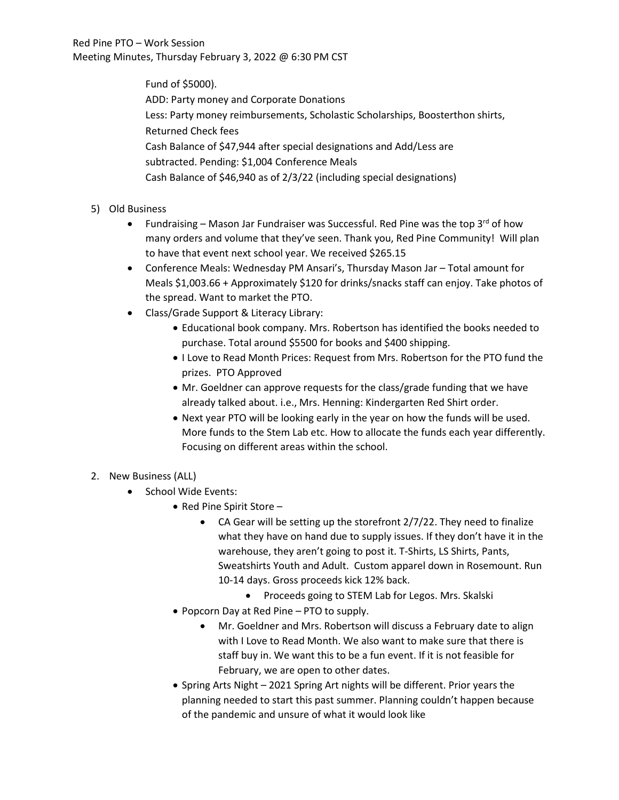Fund of \$5000). ADD: Party money and Corporate Donations Less: Party money reimbursements, Scholastic Scholarships, Boosterthon shirts, Returned Check fees Cash Balance of \$47,944 after special designations and Add/Less are subtracted. Pending: \$1,004 Conference Meals Cash Balance of \$46,940 as of 2/3/22 (including special designations)

- 5) Old Business
	- Fundraising Mason Jar Fundraiser was Successful. Red Pine was the top  $3^{rd}$  of how many orders and volume that they've seen. Thank you, Red Pine Community! Will plan to have that event next school year. We received \$265.15
	- Conference Meals: Wednesday PM Ansari's, Thursday Mason Jar Total amount for Meals \$1,003.66 + Approximately \$120 for drinks/snacks staff can enjoy. Take photos of the spread. Want to market the PTO.
	- Class/Grade Support & Literacy Library:
		- Educational book company. Mrs. Robertson has identified the books needed to purchase. Total around \$5500 for books and \$400 shipping.
		- I Love to Read Month Prices: Request from Mrs. Robertson for the PTO fund the prizes. PTO Approved
		- Mr. Goeldner can approve requests for the class/grade funding that we have already talked about. i.e., Mrs. Henning: Kindergarten Red Shirt order.
		- Next year PTO will be looking early in the year on how the funds will be used. More funds to the Stem Lab etc. How to allocate the funds each year differently. Focusing on different areas within the school.
- 2. New Business (ALL)
	- School Wide Events:
		- Red Pine Spirit Store
			- CA Gear will be setting up the storefront 2/7/22. They need to finalize what they have on hand due to supply issues. If they don't have it in the warehouse, they aren't going to post it. T-Shirts, LS Shirts, Pants, Sweatshirts Youth and Adult. Custom apparel down in Rosemount. Run 10-14 days. Gross proceeds kick 12% back.
				- Proceeds going to STEM Lab for Legos. Mrs. Skalski
		- Popcorn Day at Red Pine PTO to supply.
			- Mr. Goeldner and Mrs. Robertson will discuss a February date to align with I Love to Read Month. We also want to make sure that there is staff buy in. We want this to be a fun event. If it is not feasible for February, we are open to other dates.
		- Spring Arts Night 2021 Spring Art nights will be different. Prior years the planning needed to start this past summer. Planning couldn't happen because of the pandemic and unsure of what it would look like